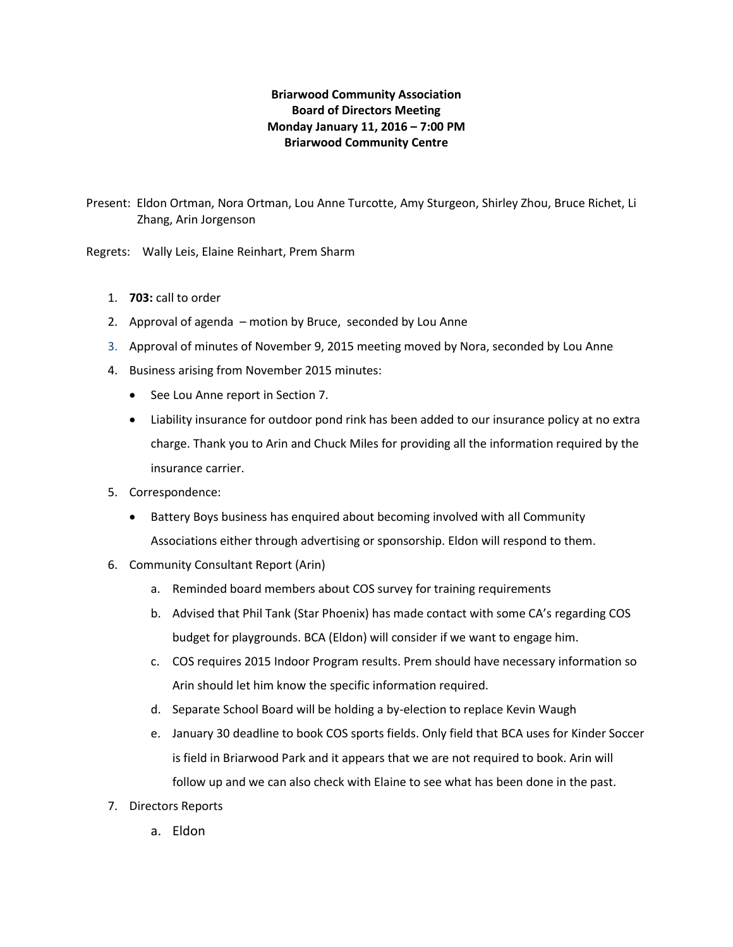## **Briarwood Community Association Board of Directors Meeting Monday January 11, 2016 – 7:00 PM Briarwood Community Centre**

Present: Eldon Ortman, Nora Ortman, Lou Anne Turcotte, Amy Sturgeon, Shirley Zhou, Bruce Richet, Li Zhang, Arin Jorgenson

Regrets: Wally Leis, Elaine Reinhart, Prem Sharm

- 1. **703:** call to order
- 2. Approval of agenda motion by Bruce, seconded by Lou Anne
- 3. Approval of minutes of November 9, 2015 meeting moved by Nora, seconded by Lou Anne
- 4. Business arising from November 2015 minutes:
	- See Lou Anne report in Section 7.
	- Liability insurance for outdoor pond rink has been added to our insurance policy at no extra charge. Thank you to Arin and Chuck Miles for providing all the information required by the insurance carrier.
- 5. Correspondence:
	- Battery Boys business has enquired about becoming involved with all Community Associations either through advertising or sponsorship. Eldon will respond to them.
- 6. Community Consultant Report (Arin)
	- a. Reminded board members about COS survey for training requirements
	- b. Advised that Phil Tank (Star Phoenix) has made contact with some CA's regarding COS budget for playgrounds. BCA (Eldon) will consider if we want to engage him.
	- c. COS requires 2015 Indoor Program results. Prem should have necessary information so Arin should let him know the specific information required.
	- d. Separate School Board will be holding a by-election to replace Kevin Waugh
	- e. January 30 deadline to book COS sports fields. Only field that BCA uses for Kinder Soccer is field in Briarwood Park and it appears that we are not required to book. Arin will follow up and we can also check with Elaine to see what has been done in the past.
- 7. Directors Reports
	- a. Eldon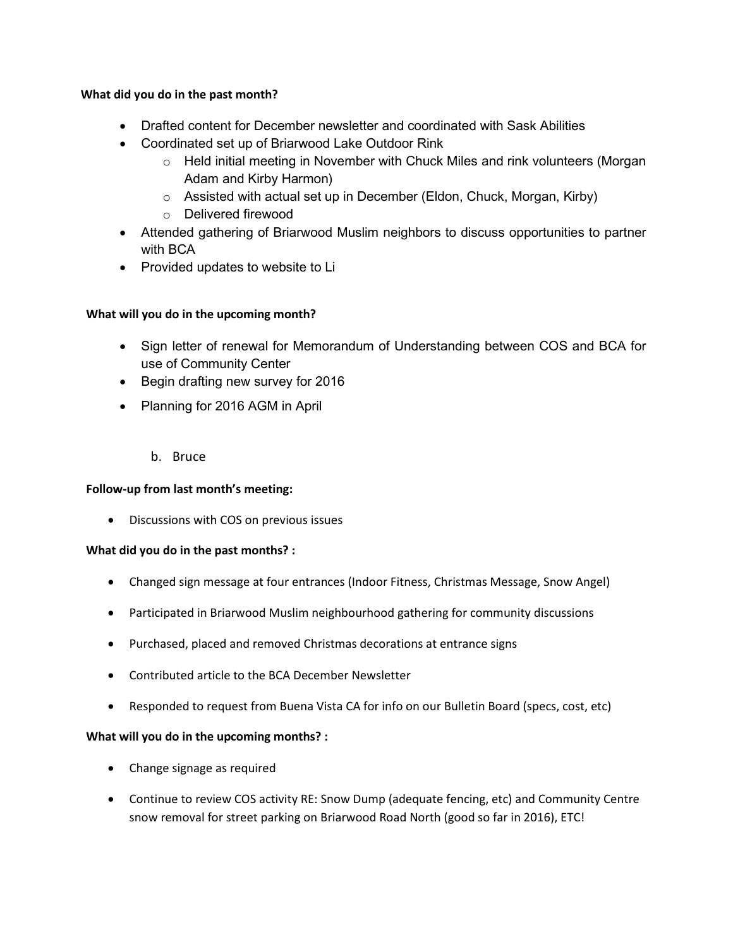#### **What did you do in the past month?**

- Drafted content for December newsletter and coordinated with Sask Abilities
- Coordinated set up of Briarwood Lake Outdoor Rink
	- $\circ$  Held initial meeting in November with Chuck Miles and rink volunteers (Morgan Adam and Kirby Harmon)
	- o Assisted with actual set up in December (Eldon, Chuck, Morgan, Kirby)
	- o Delivered firewood
- Attended gathering of Briarwood Muslim neighbors to discuss opportunities to partner with BCA
- Provided updates to website to Li

## **What will you do in the upcoming month?**

- Sign letter of renewal for Memorandum of Understanding between COS and BCA for use of Community Center
- Begin drafting new survey for 2016
- Planning for 2016 AGM in April
	- b. Bruce

## **Follow-up from last month's meeting:**

• Discussions with COS on previous issues

## **What did you do in the past months? :**

- Changed sign message at four entrances (Indoor Fitness, Christmas Message, Snow Angel)
- Participated in Briarwood Muslim neighbourhood gathering for community discussions
- Purchased, placed and removed Christmas decorations at entrance signs
- Contributed article to the BCA December Newsletter
- Responded to request from Buena Vista CA for info on our Bulletin Board (specs, cost, etc)

## **What will you do in the upcoming months? :**

- Change signage as required
- Continue to review COS activity RE: Snow Dump (adequate fencing, etc) and Community Centre snow removal for street parking on Briarwood Road North (good so far in 2016), ETC!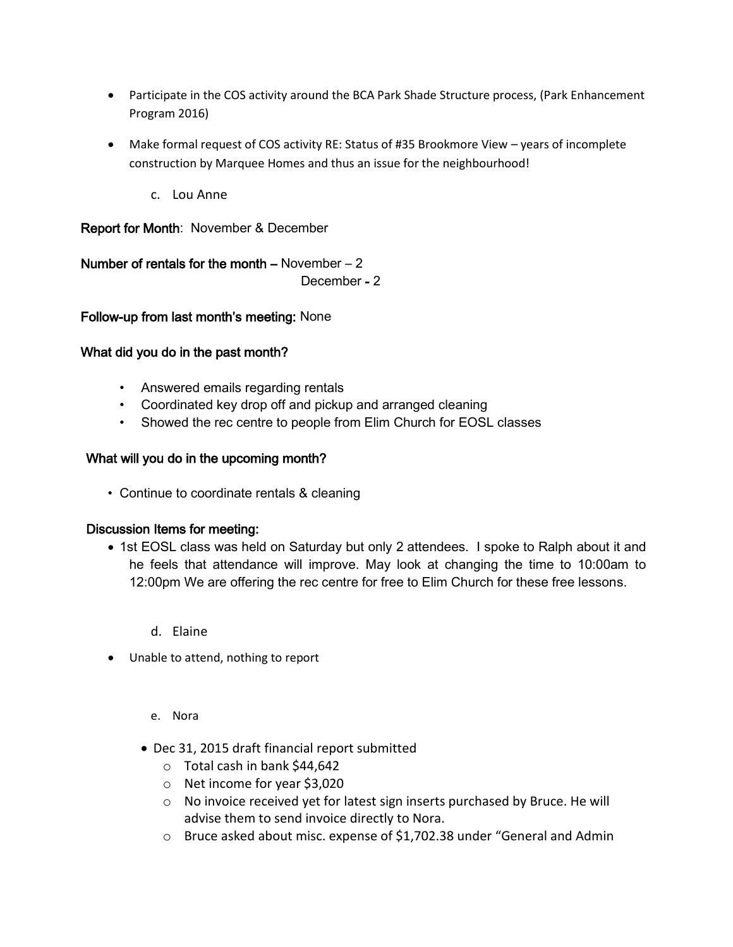- Participate in the COS activity around the BCA Park Shade Structure process, (Park Enhancement Program 2016)
- Make formal request of COS activity RE: Status of #35 Brookmore View years of incomplete construction by Marquee Homes and thus an issue for the neighbourhood!
	- c. Lou Anne

Report for Month: November & December

Number of rentals for the month  $-$  November  $-2$ December - 2

Follow-up from last month's meeting: None

# What did you do in the past month?

- Answered emails regarding rentals
- Coordinated key drop off and pickup and arranged cleaning
- Showed the rec centre to people from Elim Church for EOSL classes

# What will you do in the upcoming month?

• Continue to coordinate rentals & cleaning

## Discussion Items for meeting:

- 1st EOSL class was held on Saturday but only 2 attendees. I spoke to Ralph about it and he feels that attendance will improve. May look at changing the time to 10:00am to 12:00pm We are offering the rec centre for free to Elim Church for these free lessons.
	- d. Elaine
- Unable to attend, nothing to report
	- e. Nora
	- Dec 31, 2015 draft financial report submitted
		- o Total cash in bank \$44,642
		- o Net income for year \$3,020
		- o No invoice received yet for latest sign inserts purchased by Bruce. He will advise them to send invoice directly to Nora.
		- o Bruce asked about misc. expense of \$1,702.38 under "General and Admin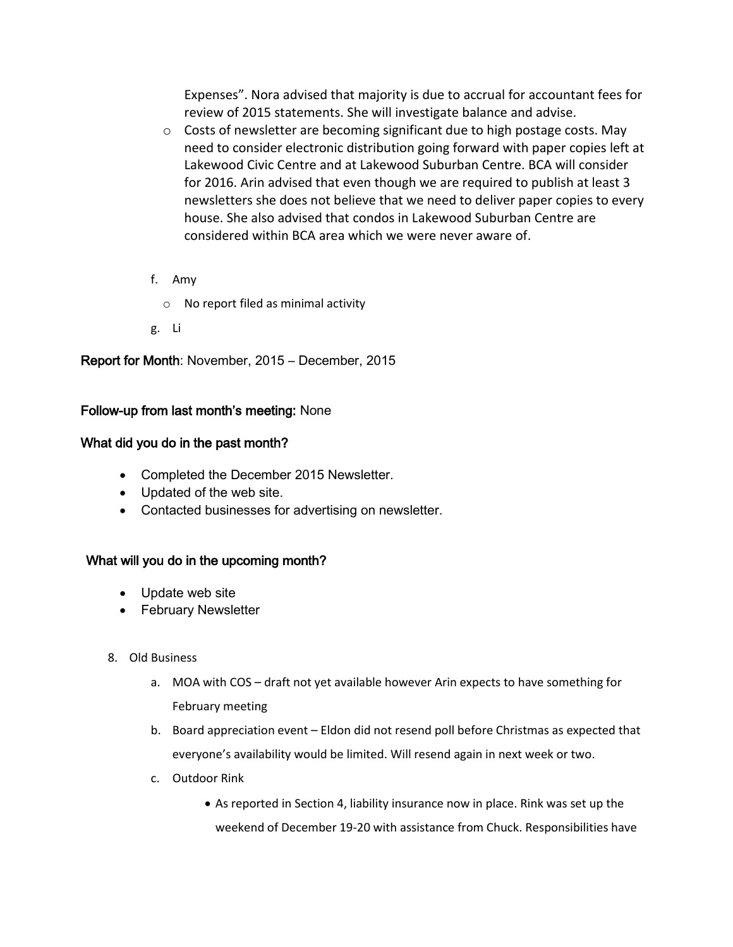Expenses". Nora advised that majority is due to accrual for accountant fees for review of 2015 statements. She will investigate balance and advise.

- $\circ$  Costs of newsletter are becoming significant due to high postage costs. May need to consider electronic distribution going forward with paper copies left at Lakewood Civic Centre and at Lakewood Suburban Centre. BCA will consider for 2016. Arin advised that even though we are required to publish at least 3 newsletters she does not believe that we need to deliver paper copies to every house. She also advised that condos in Lakewood Suburban Centre are considered within BCA area which we were never aware of.
- f. Amy
	- o No report filed as minimal activity
- g. Li

Report for Month: November, 2015 – December, 2015

## Follow-up from last month's meeting: None

#### What did you do in the past month?

- Completed the December 2015 Newsletter.
- Updated of the web site.
- Contacted businesses for advertising on newsletter.

## What will you do in the upcoming month?

- Update web site
- February Newsletter
- 8. Old Business
	- a. MOA with COS draft not yet available however Arin expects to have something for February meeting
	- b. Board appreciation event Eldon did not resend poll before Christmas as expected that everyone's availability would be limited. Will resend again in next week or two.
	- c. Outdoor Rink
		- As reported in Section 4, liability insurance now in place. Rink was set up the weekend of December 19-20 with assistance from Chuck. Responsibilities have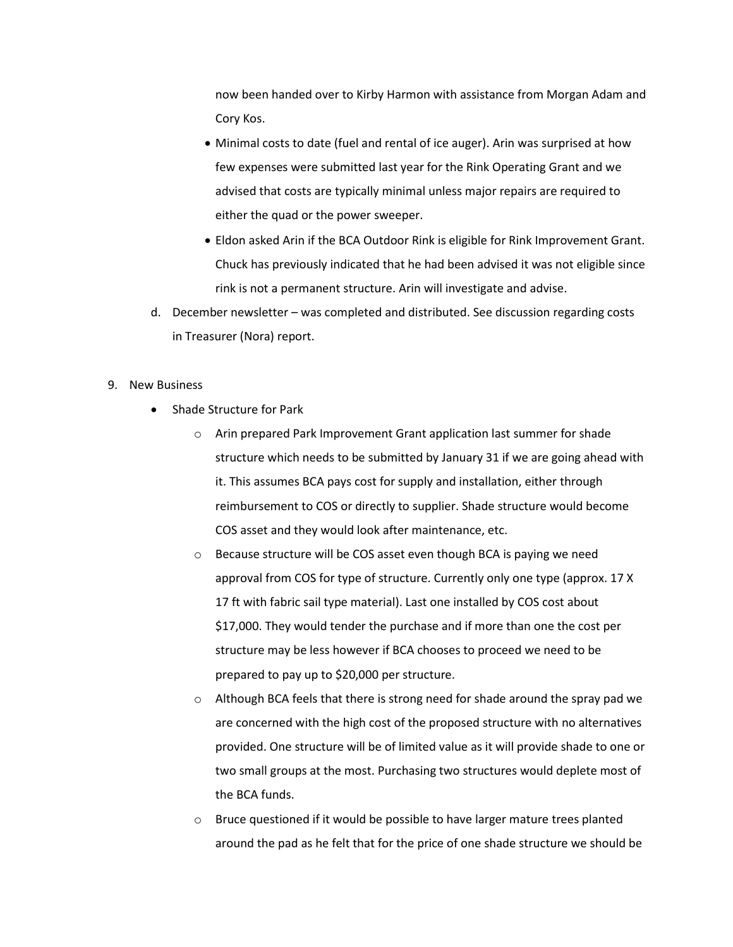now been handed over to Kirby Harmon with assistance from Morgan Adam and Cory Kos.

- Minimal costs to date (fuel and rental of ice auger). Arin was surprised at how few expenses were submitted last year for the Rink Operating Grant and we advised that costs are typically minimal unless major repairs are required to either the quad or the power sweeper.
- Eldon asked Arin if the BCA Outdoor Rink is eligible for Rink Improvement Grant. Chuck has previously indicated that he had been advised it was not eligible since rink is not a permanent structure. Arin will investigate and advise.
- d. December newsletter was completed and distributed. See discussion regarding costs in Treasurer (Nora) report.

#### 9. New Business

- Shade Structure for Park
	- o Arin prepared Park Improvement Grant application last summer for shade structure which needs to be submitted by January 31 if we are going ahead with it. This assumes BCA pays cost for supply and installation, either through reimbursement to COS or directly to supplier. Shade structure would become COS asset and they would look after maintenance, etc.
	- o Because structure will be COS asset even though BCA is paying we need approval from COS for type of structure. Currently only one type (approx. 17 X 17 ft with fabric sail type material). Last one installed by COS cost about \$17,000. They would tender the purchase and if more than one the cost per structure may be less however if BCA chooses to proceed we need to be prepared to pay up to \$20,000 per structure.
	- $\circ$  Although BCA feels that there is strong need for shade around the spray pad we are concerned with the high cost of the proposed structure with no alternatives provided. One structure will be of limited value as it will provide shade to one or two small groups at the most. Purchasing two structures would deplete most of the BCA funds.
	- o Bruce questioned if it would be possible to have larger mature trees planted around the pad as he felt that for the price of one shade structure we should be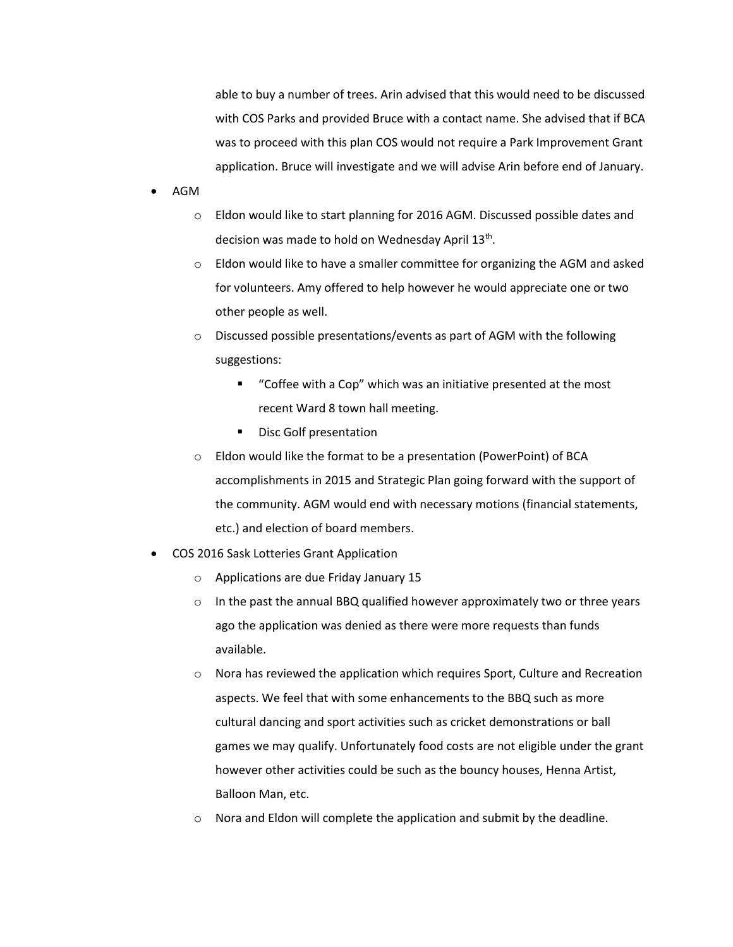able to buy a number of trees. Arin advised that this would need to be discussed with COS Parks and provided Bruce with a contact name. She advised that if BCA was to proceed with this plan COS would not require a Park Improvement Grant application. Bruce will investigate and we will advise Arin before end of January.

- AGM
	- o Eldon would like to start planning for 2016 AGM. Discussed possible dates and decision was made to hold on Wednesday April 13<sup>th</sup>.
	- o Eldon would like to have a smaller committee for organizing the AGM and asked for volunteers. Amy offered to help however he would appreciate one or two other people as well.
	- o Discussed possible presentations/events as part of AGM with the following suggestions:
		- "Coffee with a Cop" which was an initiative presented at the most recent Ward 8 town hall meeting.
		- Disc Golf presentation
	- o Eldon would like the format to be a presentation (PowerPoint) of BCA accomplishments in 2015 and Strategic Plan going forward with the support of the community. AGM would end with necessary motions (financial statements, etc.) and election of board members.
- COS 2016 Sask Lotteries Grant Application
	- o Applications are due Friday January 15
	- $\circ$  In the past the annual BBQ qualified however approximately two or three years ago the application was denied as there were more requests than funds available.
	- o Nora has reviewed the application which requires Sport, Culture and Recreation aspects. We feel that with some enhancements to the BBQ such as more cultural dancing and sport activities such as cricket demonstrations or ball games we may qualify. Unfortunately food costs are not eligible under the grant however other activities could be such as the bouncy houses, Henna Artist, Balloon Man, etc.
	- o Nora and Eldon will complete the application and submit by the deadline.